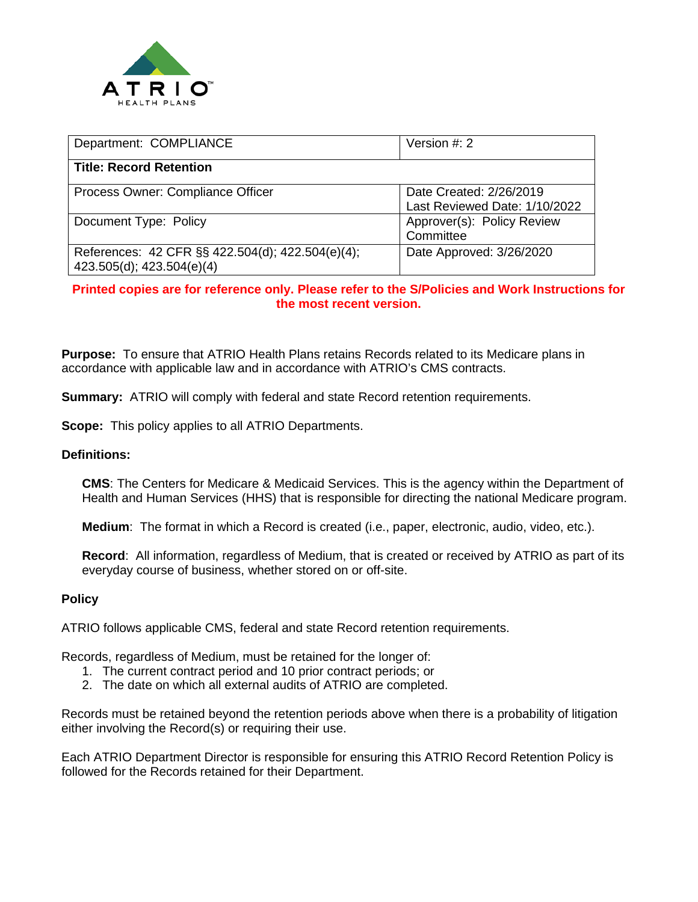

| Department: COMPLIANCE                                                        | Version $#: 2$                                           |
|-------------------------------------------------------------------------------|----------------------------------------------------------|
| <b>Title: Record Retention</b>                                                |                                                          |
| Process Owner: Compliance Officer                                             | Date Created: 2/26/2019<br>Last Reviewed Date: 1/10/2022 |
| Document Type: Policy                                                         | Approver(s): Policy Review<br>Committee                  |
| References: 42 CFR §§ 422.504(d); 422.504(e)(4);<br>423.505(d); 423.504(e)(4) | Date Approved: 3/26/2020                                 |

## **Printed copies are for reference only. Please refer to the S/Policies and Work Instructions for the most recent version.**

**Purpose:** To ensure that ATRIO Health Plans retains Records related to its Medicare plans in accordance with applicable law and in accordance with ATRIO's CMS contracts.

**Summary:** ATRIO will comply with federal and state Record retention requirements.

**Scope:** This policy applies to all ATRIO Departments.

## **Definitions:**

**CMS**: The Centers for Medicare & Medicaid Services. This is the agency within the Department of Health and Human Services (HHS) that is responsible for directing the national Medicare program.

**Medium**: The format in which a Record is created (i.e., paper, electronic, audio, video, etc.).

**Record**: All information, regardless of Medium, that is created or received by ATRIO as part of its everyday course of business, whether stored on or off-site.

## **Policy**

ATRIO follows applicable CMS, federal and state Record retention requirements.

Records, regardless of Medium, must be retained for the longer of:

- 1. The current contract period and 10 prior contract periods; or
- 2. The date on which all external audits of ATRIO are completed.

Records must be retained beyond the retention periods above when there is a probability of litigation either involving the Record(s) or requiring their use.

Each ATRIO Department Director is responsible for ensuring this ATRIO Record Retention Policy is followed for the Records retained for their Department.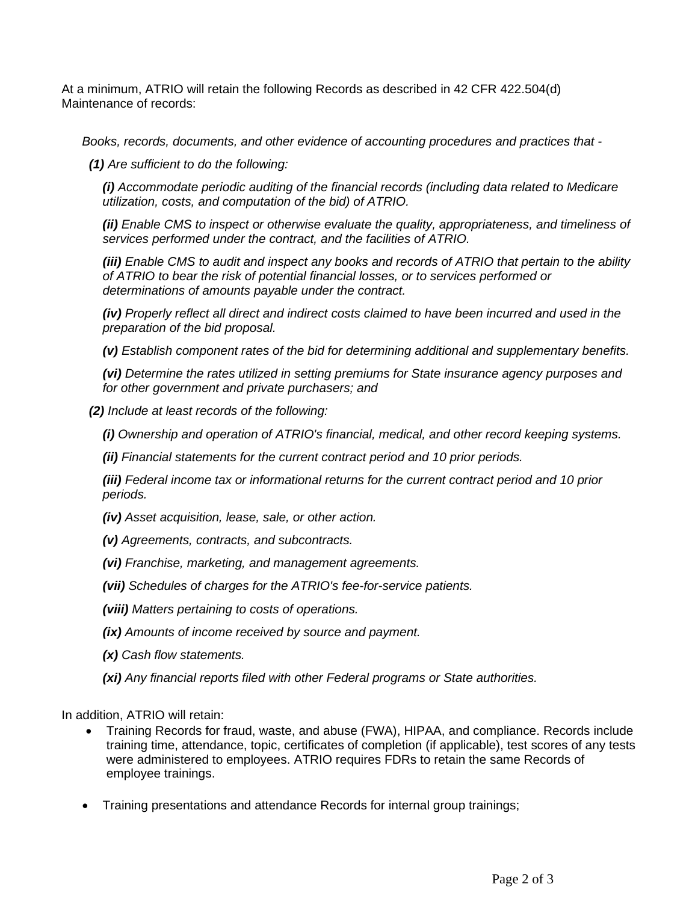At a minimum, ATRIO will retain the following Records as described in 42 CFR 422.504(d) Maintenance of records:

*Books, records, documents, and other evidence of accounting procedures and practices that -*

*(1) Are sufficient to do the following:* 

*(i) Accommodate periodic auditing of the financial records (including data related to Medicare utilization, costs, and computation of the bid) of ATRIO.* 

*(ii) Enable [CMS](https://www.law.cornell.edu/definitions/index.php?width=840&height=800&iframe=true&def_id=bf357408153b566fe5915e650bfb5a49&term_occur=999&term_src=Title:42:Chapter:IV:Subchapter:B:Part:422:Subpart:K:422.504) to inspect or otherwise evaluate the quality, appropriateness, and timeliness of services performed under the contract, and the facilities of ATRIO.* 

*(iii) Enable [CMS](https://www.law.cornell.edu/definitions/index.php?width=840&height=800&iframe=true&def_id=bf357408153b566fe5915e650bfb5a49&term_occur=999&term_src=Title:42:Chapter:IV:Subchapter:B:Part:422:Subpart:K:422.504) to audit and inspect any books and records of ATRIO that pertain to the ability of ATRIO to bear the risk of potential financial losses, or to services performed or determinations of amounts payable under the contract.* 

*(iv) Properly reflect all direct and indirect costs claimed to have been incurred and used in the preparation of the [bid](https://www.law.cornell.edu/definitions/index.php?width=840&height=800&iframe=true&def_id=a26b3ebbdb6805e376751215e154488a&term_occur=999&term_src=Title:42:Chapter:IV:Subchapter:B:Part:422:Subpart:K:422.504) proposal.* 

*(v) Establish component rates of the [bid](https://www.law.cornell.edu/definitions/index.php?width=840&height=800&iframe=true&def_id=a26b3ebbdb6805e376751215e154488a&term_occur=999&term_src=Title:42:Chapter:IV:Subchapter:B:Part:422:Subpart:K:422.504) for determining additional and supplementary [benefits.](https://www.law.cornell.edu/definitions/index.php?width=840&height=800&iframe=true&def_id=0296e2f7e253b7215d89be2cf30ca65d&term_occur=999&term_src=Title:42:Chapter:IV:Subchapter:B:Part:422:Subpart:K:422.504)* 

*(vi) Determine the rates utilized in setting premiums for State insurance agency purposes and for other government and private purchasers; and* 

*(2) Include at least records of the following:* 

*(i) Ownership and operation of ATRIO's financial, medical, and other record keeping systems.* 

*(ii) Financial statements for the current contract period and 10 prior periods.* 

*(iii) Federal income tax or informational returns for the current contract period and 10 prior periods.* 

*(iv) Asset acquisition, lease, sale, or other action.* 

*(v) Agreements, contracts, and subcontracts.* 

*(vi) Franchise, marketing, and management agreements.* 

*(vii) Schedules of charges for the ATRIO's fee-for-service patients.* 

*(viii) Matters pertaining to costs of operations.* 

*(ix) Amounts of income received by source and [payment.](https://www.law.cornell.edu/definitions/index.php?width=840&height=800&iframe=true&def_id=d66239b6cfc874cf42f9ff1eaaccf349&term_occur=999&term_src=Title:42:Chapter:IV:Subchapter:B:Part:422:Subpart:K:422.504)* 

*(x) Cash flow statements.* 

*(xi) Any financial reports filed with other Federal programs or State authorities.* 

In addition, ATRIO will retain:

- Training Records for fraud, waste, and abuse (FWA), HIPAA, and compliance. Records include training time, attendance, topic, certificates of completion (if applicable), test scores of any tests were administered to employees. ATRIO requires FDRs to retain the same Records of employee trainings.
- Training presentations and attendance Records for internal group trainings;